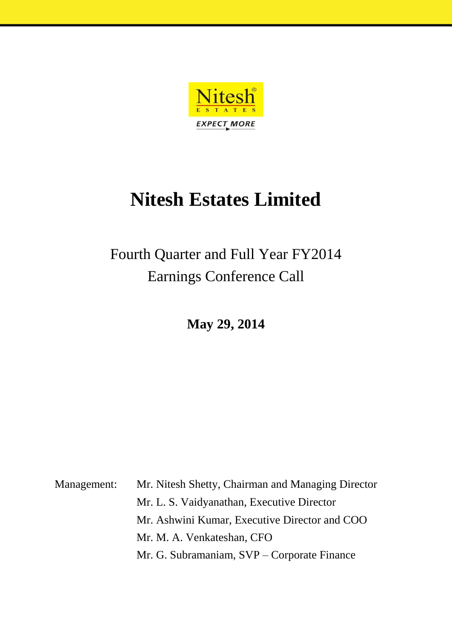

## **Nitesh Estates Limited**

## Fourth Quarter and Full Year FY2014 Earnings Conference Call

**May 29, 2014**

Management: Mr. Nitesh Shetty, Chairman and Managing Director Mr. L. S. Vaidyanathan, Executive Director Mr. Ashwini Kumar, Executive Director and COO Mr. M. A. Venkateshan, CFO Mr. G. Subramaniam, SVP – Corporate Finance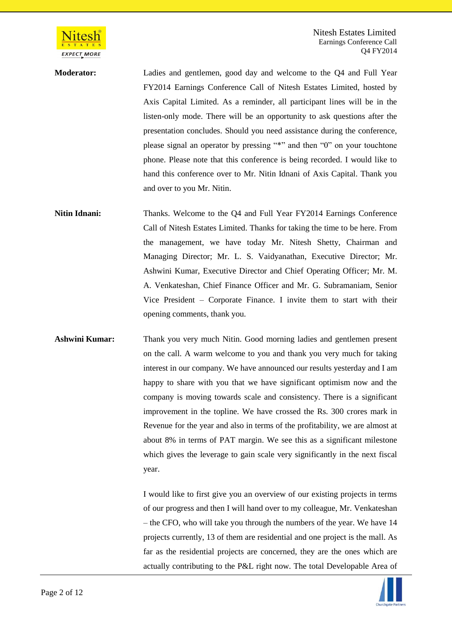

Nitesh Estates Limited Earnings Conference Call Q4 FY2014

**Moderator:** Ladies and gentlemen, good day and welcome to the Q4 and Full Year FY2014 Earnings Conference Call of Nitesh Estates Limited, hosted by Axis Capital Limited. As a reminder, all participant lines will be in the listen-only mode. There will be an opportunity to ask questions after the presentation concludes. Should you need assistance during the conference, please signal an operator by pressing "\*" and then "0" on your touchtone phone. Please note that this conference is being recorded. I would like to hand this conference over to Mr. Nitin Idnani of Axis Capital. Thank you and over to you Mr. Nitin.

**Nitin Idnani:** Thanks. Welcome to the O4 and Full Year FY2014 Earnings Conference Call of Nitesh Estates Limited. Thanks for taking the time to be here. From the management, we have today Mr. Nitesh Shetty, Chairman and Managing Director; Mr. L. S. Vaidyanathan, Executive Director; Mr. Ashwini Kumar, Executive Director and Chief Operating Officer; Mr. M. A. Venkateshan, Chief Finance Officer and Mr. G. Subramaniam, Senior Vice President – Corporate Finance. I invite them to start with their opening comments, thank you.

**Ashwini Kumar:** Thank you very much Nitin. Good morning ladies and gentlemen present on the call. A warm welcome to you and thank you very much for taking interest in our company. We have announced our results yesterday and I am happy to share with you that we have significant optimism now and the company is moving towards scale and consistency. There is a significant improvement in the topline. We have crossed the Rs. 300 crores mark in Revenue for the year and also in terms of the profitability, we are almost at about 8% in terms of PAT margin. We see this as a significant milestone which gives the leverage to gain scale very significantly in the next fiscal year.

> I would like to first give you an overview of our existing projects in terms of our progress and then I will hand over to my colleague, Mr. Venkateshan – the CFO, who will take you through the numbers of the year. We have 14 projects currently, 13 of them are residential and one project is the mall. As far as the residential projects are concerned, they are the ones which are actually contributing to the P&L right now. The total Developable Area of

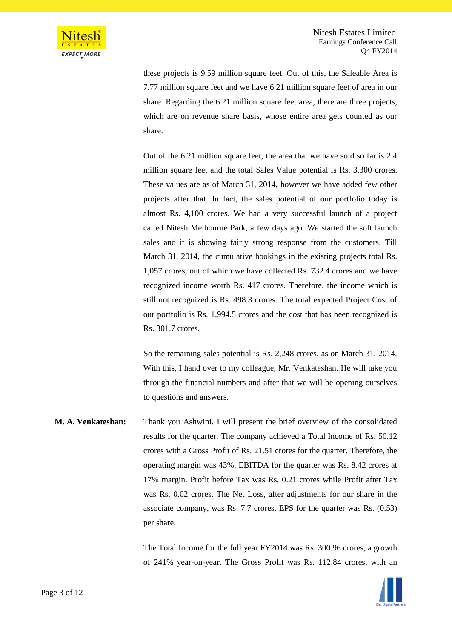

these projects is 9.59 million square feet. Out of this, the Saleable Area is 7.77 million square feet and we have 6.21 million square feet of area in our share. Regarding the 6.21 million square feet area, there are three projects, which are on revenue share basis, whose entire area gets counted as our share.

Out of the 6.21 million square feet, the area that we have sold so far is 2.4 million square feet and the total Sales Value potential is Rs. 3,300 crores. These values are as of March 31, 2014, however we have added few other projects after that. In fact, the sales potential of our portfolio today is almost Rs. 4,100 crores. We had a very successful launch of a project called Nitesh Melbourne Park, a few days ago. We started the soft launch sales and it is showing fairly strong response from the customers. Till March 31, 2014, the cumulative bookings in the existing projects total Rs. 1,057 crores, out of which we have collected Rs. 732.4 crores and we have recognized income worth Rs. 417 crores. Therefore, the income which is still not recognized is Rs. 498.3 crores. The total expected Project Cost of our portfolio is Rs. 1,994.5 crores and the cost that has been recognized is Rs. 301.7 crores.

So the remaining sales potential is Rs. 2,248 crores, as on March 31, 2014. With this, I hand over to my colleague, Mr. Venkateshan. He will take you through the financial numbers and after that we will be opening ourselves to questions and answers.

**M. A. Venkateshan:** Thank you Ashwini. I will present the brief overview of the consolidated results for the quarter. The company achieved a Total Income of Rs. 50.12 crores with a Gross Profit of Rs. 21.51 crores for the quarter. Therefore, the operating margin was 43%. EBITDA for the quarter was Rs. 8.42 crores at 17% margin. Profit before Tax was Rs. 0.21 crores while Profit after Tax was Rs. 0.02 crores. The Net Loss, after adjustments for our share in the associate company, was Rs. 7.7 crores. EPS for the quarter was Rs. (0.53) per share.

> The Total Income for the full year FY2014 was Rs. 300.96 crores, a growth of 241% year-on-year. The Gross Profit was Rs. 112.84 crores, with an

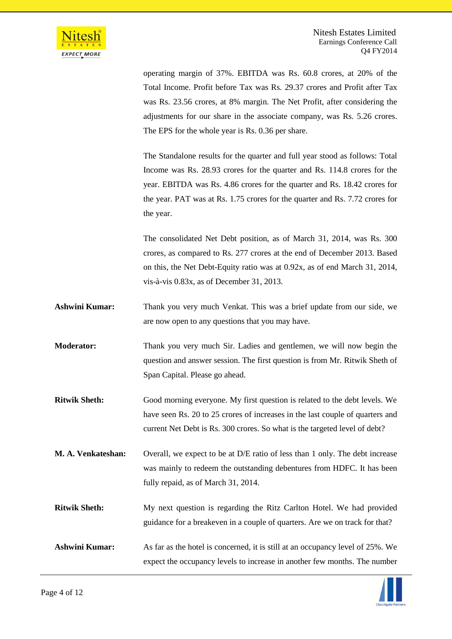

operating margin of 37%. EBITDA was Rs. 60.8 crores, at 20% of the Total Income. Profit before Tax was Rs. 29.37 crores and Profit after Tax was Rs. 23.56 crores, at 8% margin. The Net Profit, after considering the adjustments for our share in the associate company, was Rs. 5.26 crores. The EPS for the whole year is Rs. 0.36 per share.

The Standalone results for the quarter and full year stood as follows: Total Income was Rs. 28.93 crores for the quarter and Rs. 114.8 crores for the year. EBITDA was Rs. 4.86 crores for the quarter and Rs. 18.42 crores for the year. PAT was at Rs. 1.75 crores for the quarter and Rs. 7.72 crores for the year.

The consolidated Net Debt position, as of March 31, 2014, was Rs. 300 crores, as compared to Rs. 277 crores at the end of December 2013. Based on this, the Net Debt-Equity ratio was at 0.92x, as of end March 31, 2014, vis-à-vis 0.83x, as of December 31, 2013.

- **Ashwini Kumar:** Thank you very much Venkat. This was a brief update from our side, we are now open to any questions that you may have.
- **Moderator:** Thank you very much Sir. Ladies and gentlemen, we will now begin the question and answer session. The first question is from Mr. Ritwik Sheth of Span Capital. Please go ahead.
- **Ritwik Sheth:** Good morning everyone. My first question is related to the debt levels. We have seen Rs. 20 to 25 crores of increases in the last couple of quarters and current Net Debt is Rs. 300 crores. So what is the targeted level of debt?
- **M. A. Venkateshan:** Overall, we expect to be at D/E ratio of less than 1 only. The debt increase was mainly to redeem the outstanding debentures from HDFC. It has been fully repaid, as of March 31, 2014.
- **Ritwik Sheth:** My next question is regarding the Ritz Carlton Hotel. We had provided guidance for a breakeven in a couple of quarters. Are we on track for that?
- Ashwini Kumar: As far as the hotel is concerned, it is still at an occupancy level of 25%. We expect the occupancy levels to increase in another few months. The number

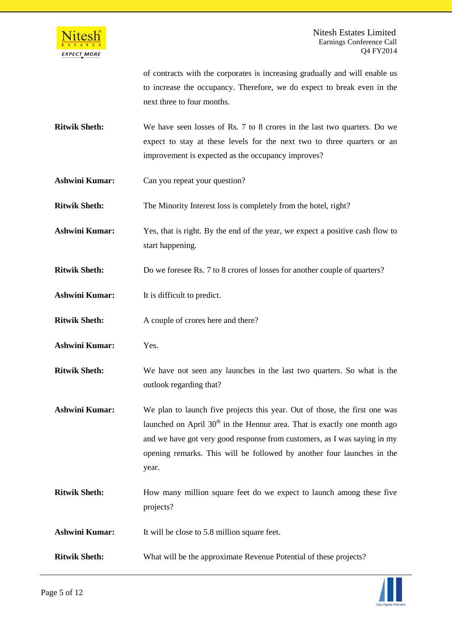

of contracts with the corporates is increasing gradually and will enable us to increase the occupancy. Therefore, we do expect to break even in the next three to four months.

- **Ritwik Sheth:** We have seen losses of Rs. 7 to 8 crores in the last two quarters. Do we expect to stay at these levels for the next two to three quarters or an improvement is expected as the occupancy improves?
- **Ashwini Kumar:** Can you repeat your question?
- **Ritwik Sheth:** The Minority Interest loss is completely from the hotel, right?
- **Ashwini Kumar:** Yes, that is right. By the end of the year, we expect a positive cash flow to start happening.
- **Ritwik Sheth:** Do we foresee Rs. 7 to 8 crores of losses for another couple of quarters?
- **Ashwini Kumar:** It is difficult to predict.
- **Ritwik Sheth:** A couple of crores here and there?
- **Ashwini Kumar:** Yes.
- **Ritwik Sheth:** We have not seen any launches in the last two quarters. So what is the outlook regarding that?
- **Ashwini Kumar:** We plan to launch five projects this year. Out of those, the first one was launched on April  $30<sup>th</sup>$  in the Hennur area. That is exactly one month ago and we have got very good response from customers, as I was saying in my opening remarks. This will be followed by another four launches in the year.
- **Ritwik Sheth:** How many million square feet do we expect to launch among these five projects?
- **Ashwini Kumar:** It will be close to 5.8 million square feet.
- **Ritwik Sheth:** What will be the approximate Revenue Potential of these projects?

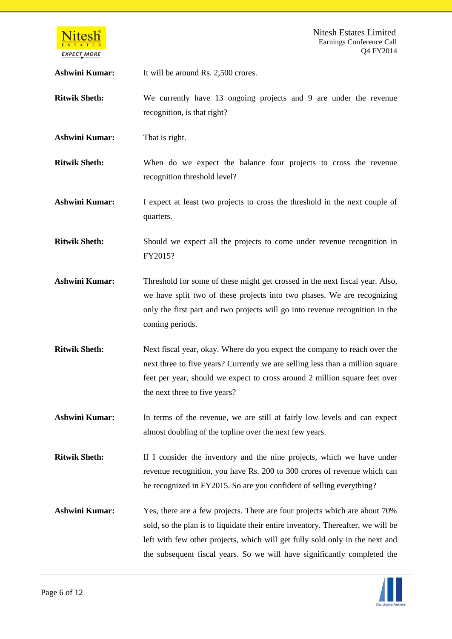

Ashwini Kumar: It will be around Rs. 2,500 crores.

**Ritwik Sheth:** We currently have 13 ongoing projects and 9 are under the revenue recognition, is that right?

**Ashwini Kumar:** That is right.

**Ritwik Sheth:** When do we expect the balance four projects to cross the revenue recognition threshold level?

**Ashwini Kumar:** I expect at least two projects to cross the threshold in the next couple of quarters.

**Ritwik Sheth:** Should we expect all the projects to come under revenue recognition in FY2015?

- **Ashwini Kumar:** Threshold for some of these might get crossed in the next fiscal year. Also, we have split two of these projects into two phases. We are recognizing only the first part and two projects will go into revenue recognition in the coming periods.
- **Ritwik Sheth:** Next fiscal year, okay. Where do you expect the company to reach over the next three to five years? Currently we are selling less than a million square feet per year, should we expect to cross around 2 million square feet over the next three to five years?
- **Ashwini Kumar:** In terms of the revenue, we are still at fairly low levels and can expect almost doubling of the topline over the next few years.

**Ritwik Sheth:** If I consider the inventory and the nine projects, which we have under revenue recognition, you have Rs. 200 to 300 crores of revenue which can be recognized in FY2015. So are you confident of selling everything?

**Ashwini Kumar:** Yes, there are a few projects. There are four projects which are about 70% sold, so the plan is to liquidate their entire inventory. Thereafter, we will be left with few other projects, which will get fully sold only in the next and the subsequent fiscal years. So we will have significantly completed the

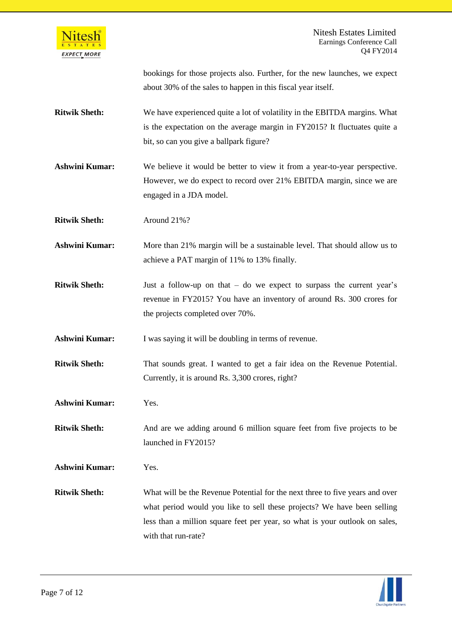

|                      | bookings for those projects also. Further, for the new launches, we expect<br>about 30% of the sales to happen in this fiscal year itself.                                                        |
|----------------------|---------------------------------------------------------------------------------------------------------------------------------------------------------------------------------------------------|
| <b>Ritwik Sheth:</b> | We have experienced quite a lot of volatility in the EBITDA margins. What<br>is the expectation on the average margin in FY2015? It fluctuates quite a<br>bit, so can you give a ballpark figure? |
| Ashwini Kumar:       | We believe it would be better to view it from a year-to-year perspective.<br>However, we do expect to record over 21% EBITDA margin, since we are<br>engaged in a JDA model.                      |
| Ritwik Sheth•        | $\Delta$ round $21\%$ ?                                                                                                                                                                           |

**Ritwik Sheth:** Around 21%?

**Ashwini Kumar:** More than 21% margin will be a sustainable level. That should allow us to achieve a PAT margin of 11% to 13% finally.

**Ritwik Sheth:** Just a follow-up on that – do we expect to surpass the current year's revenue in FY2015? You have an inventory of around Rs. 300 crores for the projects completed over 70%.

Ashwini Kumar: I was saying it will be doubling in terms of revenue.

**Ritwik Sheth:** That sounds great. I wanted to get a fair idea on the Revenue Potential. Currently, it is around Rs. 3,300 crores, right?

**Ashwini Kumar:** Yes.

**Ritwik Sheth:** And are we adding around 6 million square feet from five projects to be launched in FY2015?

**Ashwini Kumar:** Yes.

**Ritwik Sheth:** What will be the Revenue Potential for the next three to five years and over what period would you like to sell these projects? We have been selling less than a million square feet per year, so what is your outlook on sales, with that run-rate?

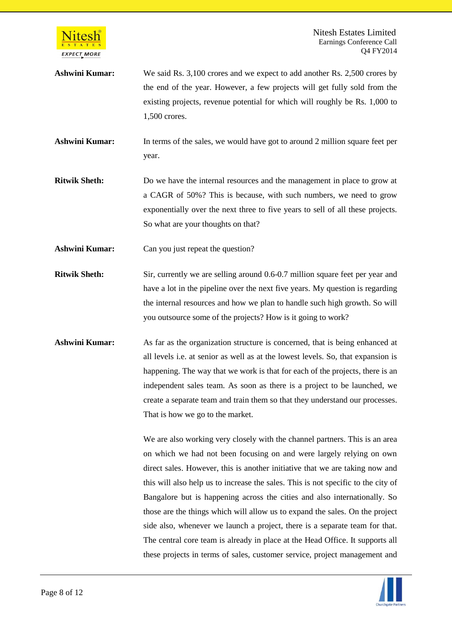

Nitesh Estates Limited Earnings Conference Call Q4 FY2014

**Ashwini Kumar:** We said Rs. 3,100 crores and we expect to add another Rs. 2,500 crores by the end of the year. However, a few projects will get fully sold from the existing projects, revenue potential for which will roughly be Rs. 1,000 to 1,500 crores.

**Ashwini Kumar:** In terms of the sales, we would have got to around 2 million square feet per year.

**Ritwik Sheth:** Do we have the internal resources and the management in place to grow at a CAGR of 50%? This is because, with such numbers, we need to grow exponentially over the next three to five years to sell of all these projects. So what are your thoughts on that?

Ashwini Kumar: Can you just repeat the question?

- **Ritwik Sheth:** Sir, currently we are selling around 0.6-0.7 million square feet per year and have a lot in the pipeline over the next five years. My question is regarding the internal resources and how we plan to handle such high growth. So will you outsource some of the projects? How is it going to work?
- **Ashwini Kumar:** As far as the organization structure is concerned, that is being enhanced at all levels i.e. at senior as well as at the lowest levels. So, that expansion is happening. The way that we work is that for each of the projects, there is an independent sales team. As soon as there is a project to be launched, we create a separate team and train them so that they understand our processes. That is how we go to the market.

We are also working very closely with the channel partners. This is an area on which we had not been focusing on and were largely relying on own direct sales. However, this is another initiative that we are taking now and this will also help us to increase the sales. This is not specific to the city of Bangalore but is happening across the cities and also internationally. So those are the things which will allow us to expand the sales. On the project side also, whenever we launch a project, there is a separate team for that. The central core team is already in place at the Head Office. It supports all these projects in terms of sales, customer service, project management and

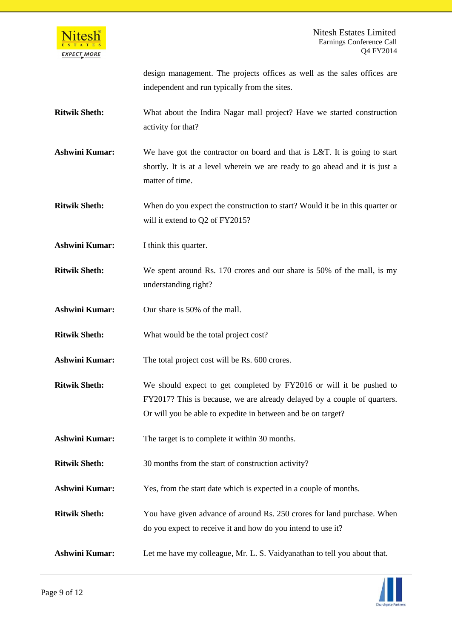

design management. The projects offices as well as the sales offices are independent and run typically from the sites.

- **Ritwik Sheth:** What about the Indira Nagar mall project? Have we started construction activity for that?
- **Ashwini Kumar:** We have got the contractor on board and that is L&T. It is going to start shortly. It is at a level wherein we are ready to go ahead and it is just a matter of time.
- **Ritwik Sheth:** When do you expect the construction to start? Would it be in this quarter or will it extend to Q2 of FY2015?
- **Ashwini Kumar:** I think this quarter.
- **Ritwik Sheth:** We spent around Rs. 170 crores and our share is 50% of the mall, is my understanding right?
- **Ashwini Kumar:** Our share is 50% of the mall.
- **Ritwik Sheth:** What would be the total project cost?
- Ashwini Kumar: The total project cost will be Rs. 600 crores.
- **Ritwik Sheth:** We should expect to get completed by FY2016 or will it be pushed to FY2017? This is because, we are already delayed by a couple of quarters. Or will you be able to expedite in between and be on target?
- **Ashwini Kumar:** The target is to complete it within 30 months.
- **Ritwik Sheth:** 30 months from the start of construction activity?
- **Ashwini Kumar:** Yes, from the start date which is expected in a couple of months.
- **Ritwik Sheth:** You have given advance of around Rs. 250 crores for land purchase. When do you expect to receive it and how do you intend to use it?
- **Ashwini Kumar:** Let me have my colleague, Mr. L. S. Vaidyanathan to tell you about that.

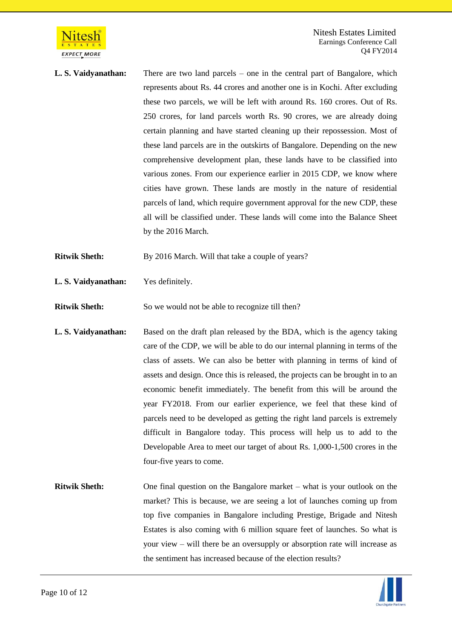

**L. S. Vaidyanathan:** There are two land parcels – one in the central part of Bangalore, which represents about Rs. 44 crores and another one is in Kochi. After excluding these two parcels, we will be left with around Rs. 160 crores. Out of Rs. 250 crores, for land parcels worth Rs. 90 crores, we are already doing certain planning and have started cleaning up their repossession. Most of these land parcels are in the outskirts of Bangalore. Depending on the new comprehensive development plan, these lands have to be classified into various zones. From our experience earlier in 2015 CDP, we know where cities have grown. These lands are mostly in the nature of residential parcels of land, which require government approval for the new CDP, these all will be classified under. These lands will come into the Balance Sheet by the 2016 March.

**Ritwik Sheth:** By 2016 March. Will that take a couple of years?

**L. S. Vaidyanathan:** Yes definitely.

**Ritwik Sheth:** So we would not be able to recognize till then?

- **L. S. Vaidyanathan:** Based on the draft plan released by the BDA, which is the agency taking care of the CDP, we will be able to do our internal planning in terms of the class of assets. We can also be better with planning in terms of kind of assets and design. Once this is released, the projects can be brought in to an economic benefit immediately. The benefit from this will be around the year FY2018. From our earlier experience, we feel that these kind of parcels need to be developed as getting the right land parcels is extremely difficult in Bangalore today. This process will help us to add to the Developable Area to meet our target of about Rs. 1,000-1,500 crores in the four-five years to come.
- **Ritwik Sheth:** One final question on the Bangalore market what is your outlook on the market? This is because, we are seeing a lot of launches coming up from top five companies in Bangalore including Prestige, Brigade and Nitesh Estates is also coming with 6 million square feet of launches. So what is your view – will there be an oversupply or absorption rate will increase as the sentiment has increased because of the election results?

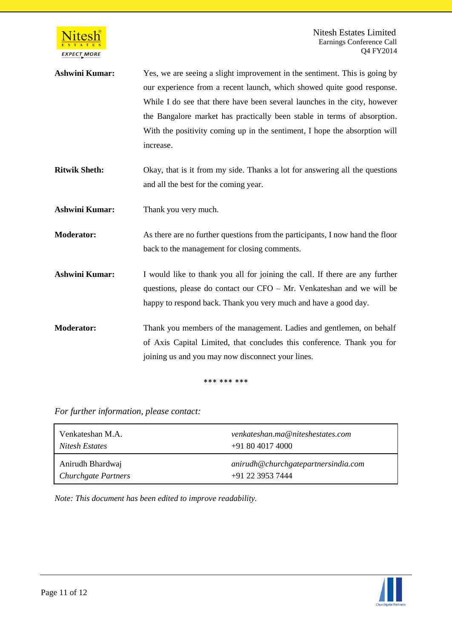

- Ashwini Kumar: Yes, we are seeing a slight improvement in the sentiment. This is going by our experience from a recent launch, which showed quite good response. While I do see that there have been several launches in the city, however the Bangalore market has practically been stable in terms of absorption. With the positivity coming up in the sentiment, I hope the absorption will increase.
- **Ritwik Sheth:** Okay, that is it from my side. Thanks a lot for answering all the questions and all the best for the coming year.
- **Ashwini Kumar:** Thank you very much.
- **Moderator:** As there are no further questions from the participants, I now hand the floor back to the management for closing comments.
- **Ashwini Kumar:** I would like to thank you all for joining the call. If there are any further questions, please do contact our CFO – Mr. Venkateshan and we will be happy to respond back. Thank you very much and have a good day.
- **Moderator:** Thank you members of the management. Ladies and gentlemen, on behalf of Axis Capital Limited, that concludes this conference. Thank you for joining us and you may now disconnect your lines.

## \*\*\* \*\*\* \*\*\*

*For further information, please contact:*

| Venkateshan M.A.    | venkateshan.ma@niteshestates.com    |
|---------------------|-------------------------------------|
| Nitesh Estates      | $+918040174000$                     |
| Anirudh Bhardwaj    | anirudh@churchgatepartnersindia.com |
| Churchgate Partners | +91 22 3953 7444                    |

*Note: This document has been edited to improve readability.*